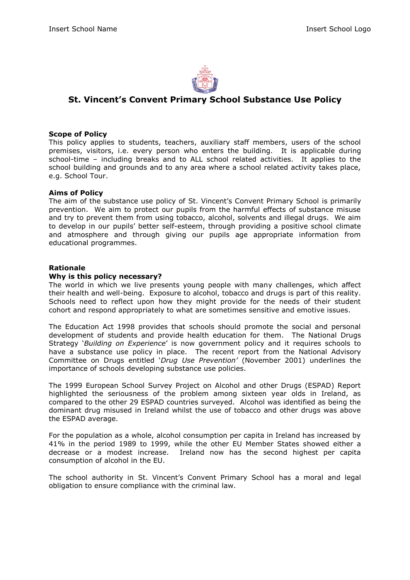

## **St. Vincent's Convent Primary School Substance Use Policy**

### **Scope of Policy**

This policy applies to students, teachers, auxiliary staff members, users of the school premises, visitors, i.e. every person who enters the building. It is applicable during school-time – including breaks and to ALL school related activities. It applies to the school building and grounds and to any area where a school related activity takes place, e.g. School Tour.

#### **Aims of Policy**

The aim of the substance use policy of St. Vincent's Convent Primary School is primarily prevention. We aim to protect our pupils from the harmful effects of substance misuse and try to prevent them from using tobacco, alcohol, solvents and illegal drugs. We aim to develop in our pupils' better self-esteem, through providing a positive school climate and atmosphere and through giving our pupils age appropriate information from educational programmes.

### **Rationale**

#### **Why is this policy necessary?**

The world in which we live presents young people with many challenges, which affect their health and well-being. Exposure to alcohol, tobacco and drugs is part of this reality. Schools need to reflect upon how they might provide for the needs of their student cohort and respond appropriately to what are sometimes sensitive and emotive issues.

The Education Act 1998 provides that schools should promote the social and personal development of students and provide health education for them. The National Drugs Strategy '*Building on Experience*' is now government policy and it requires schools to have a substance use policy in place. The recent report from the National Advisory Committee on Drugs entitled '*Drug Use Prevention'* (November 2001) underlines the importance of schools developing substance use policies.

The 1999 European School Survey Project on Alcohol and other Drugs (ESPAD) Report highlighted the seriousness of the problem among sixteen year olds in Ireland, as compared to the other 29 ESPAD countries surveyed. Alcohol was identified as being the dominant drug misused in Ireland whilst the use of tobacco and other drugs was above the ESPAD average.

For the population as a whole, alcohol consumption per capita in Ireland has increased by 41% in the period 1989 to 1999, while the other EU Member States showed either a decrease or a modest increase. Ireland now has the second highest per capita consumption of alcohol in the EU.

The school authority in St. Vincent's Convent Primary School has a moral and legal obligation to ensure compliance with the criminal law.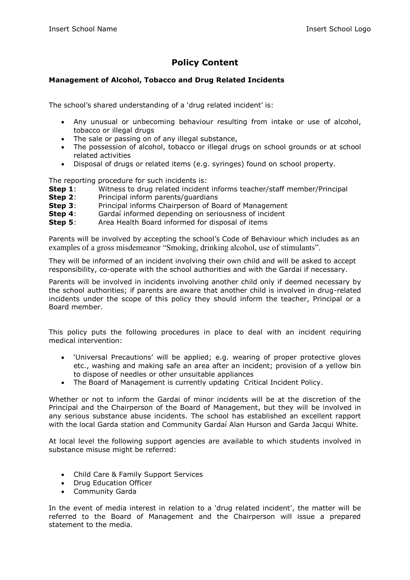# **Policy Content**

## **Management of Alcohol, Tobacco and Drug Related Incidents**

The school's shared understanding of a 'drug related incident' is:

- Any unusual or unbecoming behaviour resulting from intake or use of alcohol, tobacco or illegal drugs
- The sale or passing on of any illegal substance,
- The possession of alcohol, tobacco or illegal drugs on school grounds or at school related activities
- Disposal of drugs or related items (e.g. syringes) found on school property.

The reporting procedure for such incidents is:

- **Step 1**: Witness to drug related incident informs teacher/staff member/Principal
- **Step 2:** Principal inform parents/quardians
- **Step 3:** Principal informs Chairperson of Board of Management
- **Step 4:** Gardaí informed depending on seriousness of incident
- **Step 5:** Area Health Board informed for disposal of items

Parents will be involved by accepting the school's Code of Behaviour which includes as an examples of a gross misdemeanor "Smoking, drinking alcohol, use of stimulants".

They will be informed of an incident involving their own child and will be asked to accept responsibility, co-operate with the school authorities and with the Gardai if necessary.

Parents will be involved in incidents involving another child only if deemed necessary by the school authorities; if parents are aware that another child is involved in drug-related incidents under the scope of this policy they should inform the teacher, Principal or a Board member.

This policy puts the following procedures in place to deal with an incident requiring medical intervention:

- 'Universal Precautions' will be applied; e.g. wearing of proper protective gloves etc., washing and making safe an area after an incident; provision of a yellow bin to dispose of needles or other unsuitable appliances
- The Board of Management is currently updating Critical Incident Policy.

Whether or not to inform the Gardai of minor incidents will be at the discretion of the Principal and the Chairperson of the Board of Management, but they will be involved in any serious substance abuse incidents. The school has established an excellent rapport with the local Garda station and Community Gardaí Alan Hurson and Garda Jacqui White.

At local level the following support agencies are available to which students involved in substance misuse might be referred:

- Child Care & Family Support Services
- Drug Education Officer
- Community Garda

In the event of media interest in relation to a 'drug related incident', the matter will be referred to the Board of Management and the Chairperson will issue a prepared statement to the media.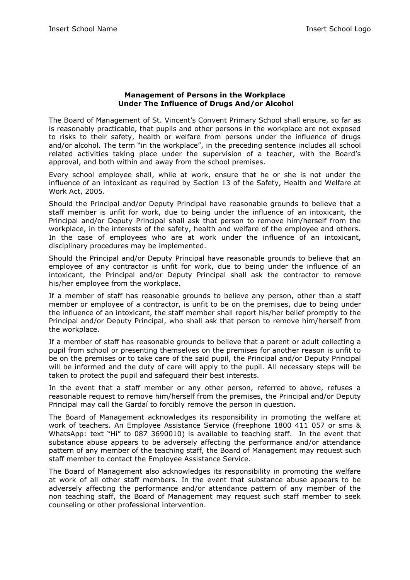#### **Management of Persons in the Workplace Under The Influence of Drugs And/or Alcohol**

The Board of Management of St. Vincent's Convent Primary School shall ensure, so far as is reasonably practicable, that pupils and other persons in the workplace are not exposed to risks to their safety, health or welfare from persons under the influence of drugs and/or alcohol. The term "in the workplace", in the preceding sentence includes all school related activities taking place under the supervision of a teacher, with the Board's approval, and both within and away from the school premises.

Every school employee shall, while at work, ensure that he or she is not under the influence of an intoxicant as required by Section 13 of the Safety, Health and Welfare at Work Act, 2005.

Should the Principal and/or Deputy Principal have reasonable grounds to believe that a staff member is unfit for work, due to being under the influence of an intoxicant, the Principal and/or Deputy Principal shall ask that person to remove him/herself from the workplace, in the interests of the safety, health and welfare of the employee and others. In the case of employees who are at work under the influence of an intoxicant, disciplinary procedures may be implemented.

Should the Principal and/or Deputy Principal have reasonable grounds to believe that an employee of any contractor is unfit for work, due to being under the influence of an intoxicant, the Principal and/or Deputy Principal shall ask the contractor to remove his/her employee from the workplace.

If a member of staff has reasonable grounds to believe any person, other than a staff member or employee of a contractor, is unfit to be on the premises, due to being under the influence of an intoxicant, the staff member shall report his/her belief promptly to the Principal and/or Deputy Principal, who shall ask that person to remove him/herself from the workplace.

If a member of staff has reasonable grounds to believe that a parent or adult collecting a pupil from school or presenting themselves on the premises for another reason is unfit to be on the premises or to take care of the said pupil, the Principal and/or Deputy Principal will be informed and the duty of care will apply to the pupil. All necessary steps will be taken to protect the pupil and safeguard their best interests.

In the event that a staff member or any other person, referred to above, refuses a reasonable request to remove him/herself from the premises, the Principal and/or Deputy Principal may call the Gardaí to forcibly remove the person in question.

The Board of Management acknowledges its responsibility in promoting the welfare at work of teachers. An Employee Assistance Service (freephone 1800 411 057 or sms & WhatsApp: text "Hi" to 087 3690010) is available to teaching staff. In the event that substance abuse appears to be adversely affecting the performance and/or attendance pattern of any member of the teaching staff, the Board of Management may request such staff member to contact the Employee Assistance Service.

The Board of Management also acknowledges its responsibility in promoting the welfare at work of all other staff members. In the event that substance abuse appears to be adversely affecting the performance and/or attendance pattern of any member of the non teaching staff, the Board of Management may request such staff member to seek counseling or other professional intervention.